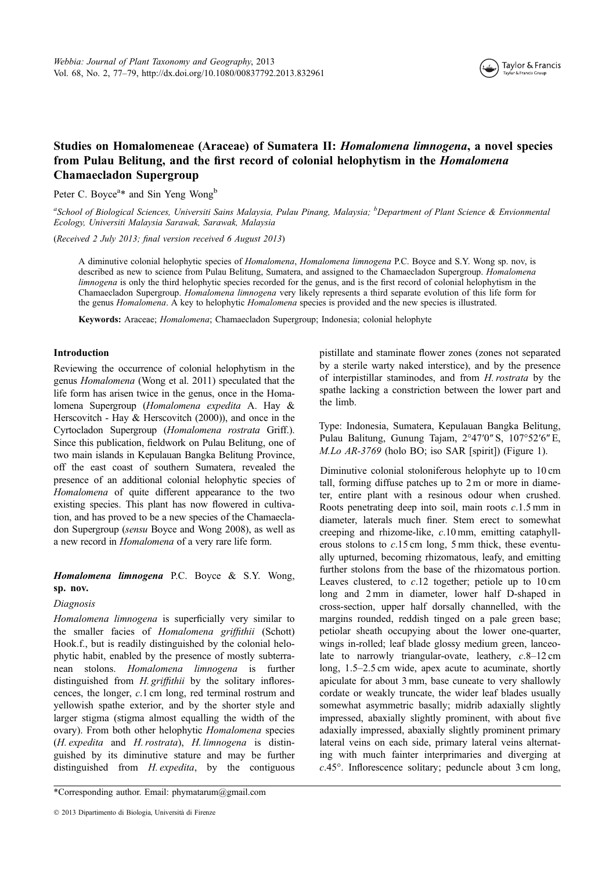

# Studies on Homalomeneae (Araceae) of Sumatera II: Homalomena limnogena, a novel species from Pulau Belitung, and the first record of colonial helophytism in the *Homalomena* Chamaecladon Supergroup

Peter C. Boyce<sup>a\*</sup> and Sin Yeng Wong<sup>b</sup>

<sup>a</sup>School of Biological Sciences, Universiti Sains Malaysia, Pulau Pinang, Malaysia; <sup>b</sup>Department of Plant Science & Envionmental Ecology, Universiti Malaysia Sarawak, Sarawak, Malaysia

(Received 2 July 2013; final version received 6 August 2013)

A diminutive colonial helophytic species of Homalomena, Homalomena limnogena P.C. Boyce and S.Y. Wong sp. nov, is described as new to science from Pulau Belitung, Sumatera, and assigned to the Chamaecladon Supergroup. Homalomena limnogena is only the third helophytic species recorded for the genus, and is the first record of colonial helophytism in the Chamaecladon Supergroup. Homalomena limnogena very likely represents a third separate evolution of this life form for the genus Homalomena. A key to helophytic Homalomena species is provided and the new species is illustrated.

Keywords: Araceae; Homalomena; Chamaecladon Supergroup; Indonesia; colonial helophyte

### Introduction

Reviewing the occurrence of colonial helophytism in the genus Homalomena (Wong et al. 2011) speculated that the life form has arisen twice in the genus, once in the Homalomena Supergroup (Homalomena expedita A. Hay & Herscovitch - Hay & Herscovitch (2000)), and once in the Cyrtocladon Supergroup (Homalomena rostrata Griff.). Since this publication, fieldwork on Pulau Belitung, one of two main islands in Kepulauan Bangka Belitung Province, off the east coast of southern Sumatera, revealed the presence of an additional colonial helophytic species of Homalomena of quite different appearance to the two existing species. This plant has now flowered in cultivation, and has proved to be a new species of the Chamaecladon Supergroup (sensu Boyce and Wong 2008), as well as a new record in Homalomena of a very rare life form.

# Homalomena limnogena P.C. Boyce & S.Y. Wong, sp. nov.

## Diagnosis

Homalomena limnogena is superficially very similar to the smaller facies of Homalomena griffithii (Schott) Hook.f., but is readily distinguished by the colonial helophytic habit, enabled by the presence of mostly subterranean stolons. Homalomena limnogena is further distinguished from *H. griffithii* by the solitary inflorescences, the longer, c.1 cm long, red terminal rostrum and yellowish spathe exterior, and by the shorter style and larger stigma (stigma almost equalling the width of the ovary). From both other helophytic Homalomena species (H. expedita and H. rostrata), H. limnogena is distinguished by its diminutive stature and may be further distinguished from *H. expedita*, by the contiguous

\*Corresponding author. Email: phymatarum@gmail.com

pistillate and staminate flower zones (zones not separated by a sterile warty naked interstice), and by the presence of interpistillar staminodes, and from H. rostrata by the spathe lacking a constriction between the lower part and the limb.

Type: Indonesia, Sumatera, Kepulauan Bangka Belitung, Pulau Balitung, Gunung Tajam, 2°47′0″ S, 107°52′6″ E, M.Lo AR-3769 (holo BO; iso SAR [spirit]) (Figure 1).

Diminutive colonial stoloniferous helophyte up to 10 cm tall, forming diffuse patches up to 2 m or more in diameter, entire plant with a resinous odour when crushed. Roots penetrating deep into soil, main roots  $c.1.5$  mm in diameter, laterals much finer. Stem erect to somewhat creeping and rhizome-like, c.10 mm, emitting cataphyllerous stolons to  $c.15$  cm long, 5 mm thick, these eventually upturned, becoming rhizomatous, leafy, and emitting further stolons from the base of the rhizomatous portion. Leaves clustered, to  $c.12$  together; petiole up to  $10 \text{ cm}$ long and 2 mm in diameter, lower half D-shaped in cross-section, upper half dorsally channelled, with the margins rounded, reddish tinged on a pale green base; petiolar sheath occupying about the lower one-quarter, wings in-rolled; leaf blade glossy medium green, lanceolate to narrowly triangular-ovate, leathery,  $c.8-12$  cm long, 1.5–2.5 cm wide, apex acute to acuminate, shortly apiculate for about 3 mm, base cuneate to very shallowly cordate or weakly truncate, the wider leaf blades usually somewhat asymmetric basally; midrib adaxially slightly impressed, abaxially slightly prominent, with about five adaxially impressed, abaxially slightly prominent primary lateral veins on each side, primary lateral veins alternating with much fainter interprimaries and diverging at c.45°. Inflorescence solitary; peduncle about 3 cm long,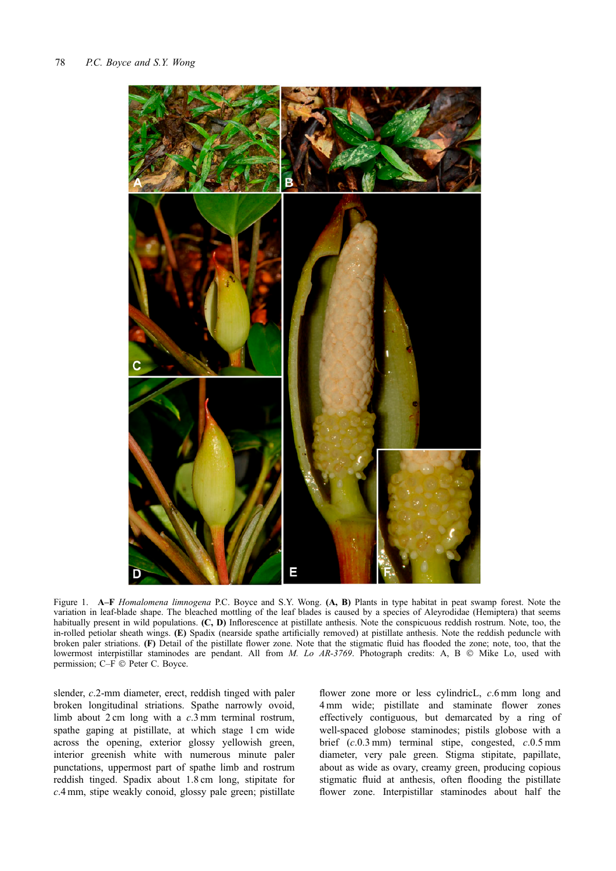

Figure 1. A–F Homalomena limnogena P.C. Boyce and S.Y. Wong. (A, B) Plants in type habitat in peat swamp forest. Note the variation in leaf-blade shape. The bleached mottling of the leaf blades is caused by a species of Aleyrodidae (Hemiptera) that seems habitually present in wild populations. (C, D) Inflorescence at pistillate anthesis. Note the conspicuous reddish rostrum. Note, too, the in-rolled petiolar sheath wings. (E) Spadix (nearside spathe artificially removed) at pistillate anthesis. Note the reddish peduncle with broken paler striations. (F) Detail of the pistillate flower zone. Note that the stigmatic fluid has flooded the zone; note, too, that the lowermost interpistillar staminodes are pendant. All from  $M$ . Lo AR-3769. Photograph credits: A, B  $\odot$  Mike Lo, used with permission; C–F  $\odot$  Peter C. Boyce.

slender, c.2-mm diameter, erect, reddish tinged with paler broken longitudinal striations. Spathe narrowly ovoid, limb about 2 cm long with a c.3 mm terminal rostrum, spathe gaping at pistillate, at which stage 1 cm wide across the opening, exterior glossy yellowish green, interior greenish white with numerous minute paler punctations, uppermost part of spathe limb and rostrum reddish tinged. Spadix about 1.8 cm long, stipitate for c.4 mm, stipe weakly conoid, glossy pale green; pistillate

flower zone more or less cylindricL,  $c$ .6 mm long and 4 mm wide; pistillate and staminate flower zones effectively contiguous, but demarcated by a ring of well-spaced globose staminodes; pistils globose with a brief (c.0.3 mm) terminal stipe, congested, c.0.5 mm diameter, very pale green. Stigma stipitate, papillate, about as wide as ovary, creamy green, producing copious stigmatic fluid at anthesis, often flooding the pistillate flower zone. Interpistillar staminodes about half the